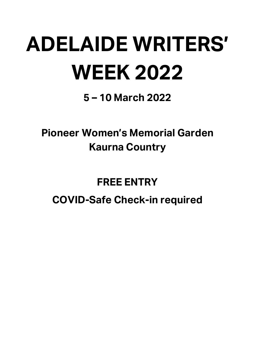# **ADELAIDE WRITERS' WEEK 2022**

**5 – 10 March 2022**

**Pioneer Women's Memorial Garden Kaurna Country** 

## **FREE ENTRY**

### **COVID-Safe Check-in required**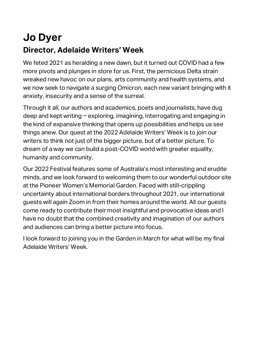## **Jo Dyer Director, Adelaide Writers' Week**

We feted 2021 as heralding a new dawn, but it turned out COVID had a few more pivots and plunges in store for us. First, the pernicious Delta strain wreaked new havoc on our plans, arts community and health systems, and we now seek to navigate a surging Omicron, each new variant bringing with it anxiety, insecurity and a sense of the surreal.

Through it all, our authors and academics, poets and journalists, have dug deep and kept writing - exploring, imagining, interrogating and engaging in the kind of expansive thinking that opens up possibilities and helps us see things anew. Our quest at the 2022 Adelaide Writers' Week is to join our writers to think not just of the bigger picture, but of a better picture. To dream of a way we can build a post-COVID world with greater equality, humanity and community.

Our 2022 Festival features some of Australia's most interesting and erudite minds, and we look forward to welcoming them to our wonderful outdoor site at the Pioneer Women's Memorial Garden. Faced with still-crippling uncertainty about international borders throughout 2021, our international guests will again Zoom in from their homes around the world. All our guests come ready to contribute their most insightful and provocative ideas and I have no doubt that the combined creativity and imagination of our authors and audiences can bring a better picture into focus.

I look forward to joining you in the Garden in March for what will be my final Adelaide Writers' Week.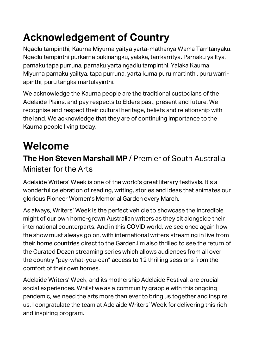## **Acknowledgement of Country**

Ngadlu tampinthi, Kaurna Miyurna yaitya yarta-mathanya Wama Tarntanyaku. Ngadlu tampinthi purkarna pukinangku, yalaka, tarrkarritya. Parnaku yailtya, parnaku tapa purruna, parnaku yarta ngadlu tampinthi. Yalaka Kaurna Miyurna parnaku yailtya, tapa purruna, yarta kuma puru martinthi, puru warriapinthi, puru tangka martulayinthi.

We acknowledge the Kaurna people are the traditional custodians of the Adelaide Plains, and pay respects to Elders past, present and future. We recognise and respect their cultural heritage, beliefs and relationship with the land. We acknowledge that they are of continuing importance to the Kaurna people living today.

## **Welcome**

### **The Hon Steven Marshall MP** / Premier of South Australia Minister for the Arts

Adelaide Writers' Week is one of the world's great literary festivals. It's a wonderful celebration of reading, writing, stories and ideas that animates our glorious Pioneer Women's Memorial Garden every March.

As always, Writers' Week is the perfect vehicle to showcase the incredible might of our own home-grown Australian writers as they sit alongside their international counterparts. And in this COVID world, we see once again how the show must always go on, with international writers streaming in live from their home countries direct to the Garden.I'm also thrilled to see the return of the Curated Dozen streaming series which allows audiences from all over the country "pay-what-you-can" access to 12 thrilling sessions from the comfort of their own homes.

Adelaide Writers' Week, and its mothership Adelaide Festival, are crucial social experiences. Whilst we as a community grapple with this ongoing pandemic, we need the arts more than ever to bring us together and inspire us. I congratulate the team at Adelaide Writers' Week for delivering this rich and inspiring program.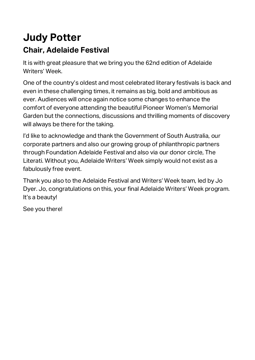### **Judy Potter Chair, Adelaide Festival**

It is with great pleasure that we bring you the 62nd edition of Adelaide Writers' Week.

One of the country's oldest and most celebrated literary festivals is back and even in these challenging times, it remains as big, bold and ambitious as ever. Audiences will once again notice some changes to enhance the comfort of everyone attending the beautiful Pioneer Women's Memorial Garden but the connections, discussions and thrilling moments of discovery will always be there for the taking.

I'd like to acknowledge and thank the Government of South Australia, our corporate partners and also our growing group of philanthropic partners through Foundation Adelaide Festival and also via our donor circle, The Literati. Without you, Adelaide Writers' Week simply would not exist as a fabulously free event.

Thank you also to the Adelaide Festival and Writers' Week team, led by Jo Dyer. Jo, congratulations on this, your final Adelaide Writers' Week program. It's a beauty!

See you there!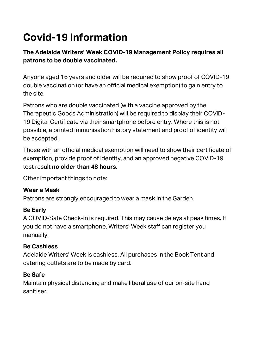## **Covid-19 Information**

### **The Adelaide Writers' Week COVID-19 Management Policy requires all patrons to be double vaccinated.**

Anyone aged 16 years and older will be required to show proof of COVID-19 double vaccination (or have an official medical exemption) to gain entry to the site.

Patrons who are double vaccinated (with a vaccine approved by the Therapeutic Goods Administration) will be required to display their COVID-19 Digital Certificate via their smartphone before entry. Where this is not possible, a printed immunisation history statement and proof of identity will be accepted.

Those with an official medical exemption will need to show their certificate of exemption, provide proof of identity, and an approved negative COVID-19 test result **no older than 48 hours.**

Other important things to note:

### **Wear a Mask**

Patrons are strongly encouraged to wear a mask in the Garden.

### **Be Early**

A COVID-Safe Check-in is required. This may cause delays at peak times. If you do not have a smartphone, Writers' Week staff can register you manually.

### **Be Cashless**

Adelaide Writers' Week is cashless. All purchases in the Book Tent and catering outlets are to be made by card.

### **Be Safe**

Maintain physical distancing and make liberal use of our on-site hand sanitiser.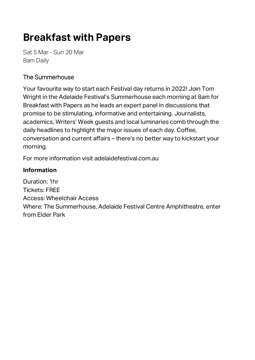## **Breakfast with Papers**

Sat 5 Mar - Sun 20 Mar 8am Daily

### The Summerhouse

Your favourite way to start each Festival day returns in 2022! Join Tom Wright in the Adelaide Festival's Summerhouse each morning at 8am for Breakfast with Papers as he leads an expert panel in discussions that promise to be stimulating, informative and entertaining. Journalists, academics, Writers' Week guests and local luminaries comb through the daily headlines to highlight the major issues of each day. Coffee, conversation and current affairs – there's no better way to kickstart your morning.

For more information visit adelaidefestival.com.au

#### **Information**

Duration: 1hr Tickets: FREE Access: Wheelchair Access Where: The Summerhouse, Adelaide Festival Centre Amphitheatre, enter from Elder Park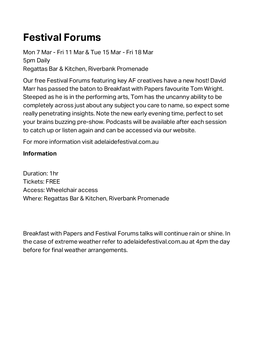## **Festival Forums**

Mon 7 Mar - Fri 11 Mar & Tue 15 Mar - Fri 18 Mar 5pm Daily Regattas Bar & Kitchen, Riverbank Promenade

Our free Festival Forums featuring key AF creatives have a new host! David Marr has passed the baton to Breakfast with Papers favourite Tom Wright. Steeped as he is in the performing arts, Tom has the uncanny ability to be completely across just about any subject you care to name, so expect some really penetrating insights. Note the new early evening time, perfect to set your brains buzzing pre-show. Podcasts will be available after each session to catch up or listen again and can be accessed via our website.

For more information visit adelaidefestival.com.au

#### **Information**

Duration: 1hr Tickets: FREE Access: Wheelchair access Where: Regattas Bar & Kitchen, Riverbank Promenade

Breakfast with Papers and Festival Forums talks will continue rain or shine. In the case of extreme weather refer to adelaidefestival.com.au at 4pm the day before for final weather arrangements.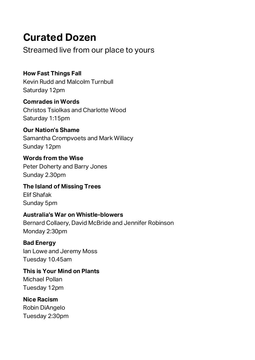## **Curated Dozen**

Streamed live from our place to yours

**How Fast Things Fall**  Kevin Rudd and Malcolm Turnbull Saturday 12pm

**Comrades in Words**  Christos Tsiolkas and Charlotte Wood Saturday 1:15pm

**Our Nation's Shame** Samantha Crompvoets and Mark Willacy Sunday 12pm

**Words from the Wise** Peter Doherty and Barry Jones Sunday 2.30pm

**The Island of Missing Trees** Elif Shafak Sunday 5pm

### **Australia's War on Whistle-blowers**

Bernard Collaery, David McBride and Jennifer Robinson Monday 2:30pm

**Bad Energy** Ian Lowe and Jeremy Moss Tuesday 10.45am

**This is Your Mind on Plants** Michael Pollan Tuesday 12pm

**Nice Racism** Robin DiAngelo Tuesday 2:30pm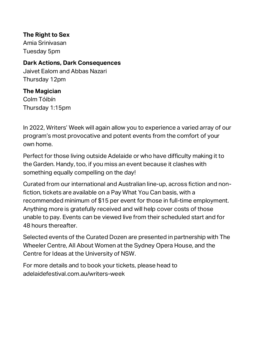**The Right to Sex**

Amia Srinivasan Tuesday 5pm

#### **Dark Actions, Dark Consequences**

Jaivet Ealom and Abbas Nazari Thursday 12pm

#### **The Magician**

Colm Tóibín Thursday 1:15pm

In 2022, Writers' Week will again allow you to experience a varied array of our program's most provocative and potent events from the comfort of your own home.

Perfect for those living outside Adelaide or who have difficulty making it to the Garden. Handy, too, if you miss an event because it clashes with something equally compelling on the day!

Curated from our international and Australian line-up, across fiction and nonfiction, tickets are available on a Pay What You Can basis, with a recommended minimum of \$15 per event for those in full-time employment. Anything more is gratefully received and will help cover costs of those unable to pay. Events can be viewed live from their scheduled start and for 48 hours thereafter.

Selected events of the Curated Dozen are presented in partnership with The Wheeler Centre, All About Women at the Sydney Opera House, and the Centre for Ideas at the University of NSW.

For more details and to book your tickets, please head to adelaidefestival.com.au/writers-week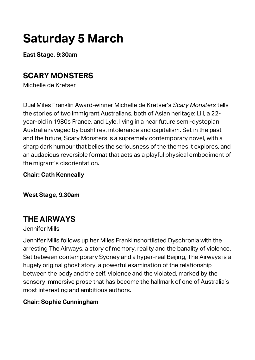## **Saturday 5 March**

**East Stage, 9:30am**

### **SCARY MONSTERS**

Michelle de Kretser

Dual Miles Franklin Award-winner Michelle de Kretser's *Scary Monsters* tells the stories of two immigrant Australians, both of Asian heritage: Lili, a 22 year-old in 1980s France, and Lyle, living in a near future semi-dystopian Australia ravaged by bushfires, intolerance and capitalism. Set in the past and the future, Scary Monsters is a supremely contemporary novel, with a sharp dark humour that belies the seriousness of the themes it explores, and an audacious reversible format that acts as a playful physical embodiment of the migrant's disorientation.

#### **Chair: Cath Kenneally**

**West Stage, 9.30am**

### **THE AIRWAYS**

#### Jennifer Mills

Jennifer Mills follows up her Miles Franklinshortlisted Dyschronia with the arresting The Airways, a story of memory, reality and the banality of violence. Set between contemporary Sydney and a hyper-real Beijing, The Airways is a hugely original ghost story, a powerful examination of the relationship between the body and the self, violence and the violated, marked by the sensory immersive prose that has become the hallmark of one of Australia's most interesting and ambitious authors.

### **Chair: Sophie Cunningham**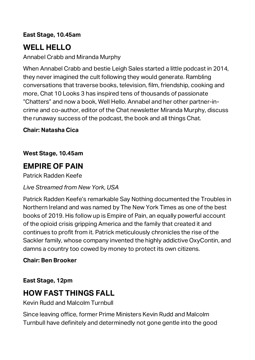#### **East Stage, 10.45am**

### **WELL HELLO**

Annabel Crabb and Miranda Murphy

When Annabel Crabb and bestie Leigh Sales started a little podcast in 2014, they never imagined the cult following they would generate. Rambling conversations that traverse books, television, film, friendship, cooking and more, Chat 10 Looks 3 has inspired tens of thousands of passionate "Chatters" and now a book, Well Hello. Annabel and her other partner-incrime and co-author, editor of the Chat newsletter Miranda Murphy, discuss the runaway success of the podcast, the book and all things Chat.

#### **Chair: Natasha Cica**

#### **West Stage, 10.45am**

### **EMPIRE OF PAIN**

Patrick Radden Keefe

### *Live Streamed from New York, USA*

Patrick Radden Keefe's remarkable Say Nothing documented the Troubles in Northern Ireland and was named by The New York Times as one of the best books of 2019. His follow up is Empire of Pain, an equally powerful account of the opioid crisis gripping America and the family that created it and continues to profit from it. Patrick meticulously chronicles the rise of the Sackler family, whose company invented the highly addictive OxyContin, and damns a country too cowed by money to protect its own citizens.

#### **Chair: Ben Brooker**

#### **East Stage, 12pm**

### **HOW FAST THINGS FALL**

Kevin Rudd and Malcolm Turnbull

Since leaving office, former Prime Ministers Kevin Rudd and Malcolm Turnbull have definitely and determinedly not gone gentle into the good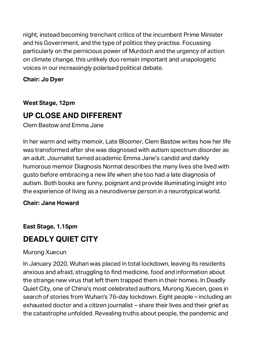night, instead becoming trenchant critics of the incumbent Prime Minister and his Government, and the type of politics they practise. Focussing particularly on the pernicious power of Murdoch and the urgency of action on climate change, this unlikely duo remain important and unapologetic voices in our increasingly polarised political debate.

#### **Chair: Jo Dyer**

**West Stage, 12pm**

### **UP CLOSE AND DIFFERENT**

Clem Bastow and Emma Jane

In her warm and witty memoir, Late Bloomer, Clem Bastow writes how her life was transformed after she was diagnosed with autism spectrum disorder as an adult. Journalist turned academic Emma Jane's candid and darkly humorous memoir Diagnosis Normal describes the many lives she lived with gusto before embracing a new life when she too had a late diagnosis of autism. Both books are funny, poignant and provide illuminating insight into the experience of living as a neurodiverse person in a neurotypical world.

#### **Chair: Jane Howard**

**East Stage, 1.15pm**

### **DEADLY QUIET CITY**

#### Murong Xuecun

In January 2020, Wuhan was placed in total lockdown, leaving its residents anxious and afraid, struggling to find medicine, food and information about the strange new virus that left them trapped them in their homes. In Deadly Quiet City, one of China's most celebrated authors, Murong Xuecen, goes in search of stories from Wuhan's 76-day lockdown. Eight people – including an exhausted doctor and a citizen journalist – share their lives and their grief as the catastrophe unfolded. Revealing truths about people, the pandemic and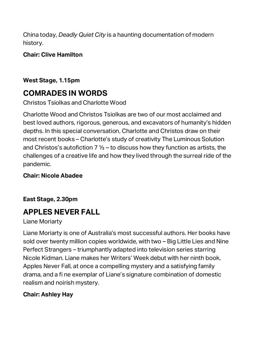China today, *Deadly Quiet City* is a haunting documentation of modern history.

**Chair: Clive Hamilton**

### **West Stage, 1.15pm**

### **COMRADES IN WORDS**

Christos Tsiolkas and Charlotte Wood

Charlotte Wood and Christos Tsiolkas are two of our most acclaimed and best loved authors, rigorous, generous, and excavators of humanity's hidden depths. In this special conversation, Charlotte and Christos draw on their most recent books – Charlotte's study of creativity The Luminous Solution and Christos's autofiction  $7\frac{1}{2}$  – to discuss how they function as artists, the challenges of a creative life and how they lived through the surreal ride of the pandemic.

### **Chair: Nicole Abadee**

**East Stage, 2.30pm**

### **APPLES NEVER FALL**

### Liane Moriarty

Liane Moriarty is one of Australia's most successful authors. Her books have sold over twenty million copies worldwide, with two – Big Little Lies and Nine Perfect Strangers – triumphantly adapted into television series starring Nicole Kidman. Liane makes her Writers' Week debut with her ninth book, Apples Never Fall, at once a compelling mystery and a satisfying family drama, and a fi ne exemplar of Liane's signature combination of domestic realism and noirish mystery.

### **Chair: Ashley Hay**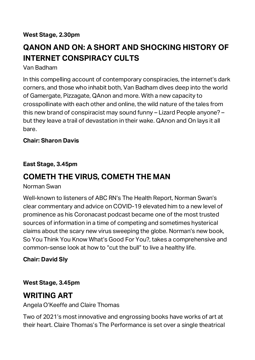### **QANON AND ON: A SHORT AND SHOCKING HISTORY OF INTERNET CONSPIRACY CULTS**

Van Badham

In this compelling account of contemporary conspiracies, the internet's dark corners, and those who inhabit both, Van Badham dives deep into the world of Gamergate, Pizzagate, QAnon and more. With a new capacity to crosspollinate with each other and online, the wild nature of the tales from this new brand of conspiracist may sound funny – Lizard People anyone? – but they leave a trail of devastation in their wake. QAnon and On lays it all bare.

### **Chair: Sharon Davis**

### **East Stage, 3.45pm**

### **COMETH THE VIRUS, COMETH THE MAN**

Norman Swan

Well-known to listeners of ABC RN's The Health Report, Norman Swan's clear commentary and advice on COVID-19 elevated him to a new level of prominence as his Coronacast podcast became one of the most trusted sources of information in a time of competing and sometimes hysterical claims about the scary new virus sweeping the globe. Norman's new book, So You Think You Know What's Good For You?, takes a comprehensive and common-sense look at how to "cut the bull" to live a healthy life.

### **Chair: David Sly**

**West Stage, 3.45pm**

### **WRITING ART**

Angela O'Keeffe and Claire Thomas

Two of 2021's most innovative and engrossing books have works of art at their heart. Claire Thomas's The Performance is set over a single theatrical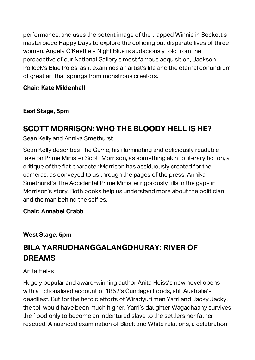performance, and uses the potent image of the trapped Winnie in Beckett's masterpiece Happy Days to explore the colliding but disparate lives of three women. Angela O'Keeff e's Night Blue is audaciously told from the perspective of our National Gallery's most famous acquisition, Jackson Pollock's Blue Poles, as it examines an artist's life and the eternal conundrum of great art that springs from monstrous creators.

### **Chair: Kate Mildenhall**

**East Stage, 5pm**

### **SCOTT MORRISON: WHO THE BLOODY HELL IS HE?**

Sean Kelly and Annika Smethurst

Sean Kelly describes The Game, his illuminating and deliciously readable take on Prime Minister Scott Morrison, as something akin to literary fiction, a critique of the flat character Morrison has assiduously created for the cameras, as conveyed to us through the pages of the press. Annika Smethurst's The Accidental Prime Minister rigorously fills in the gaps in Morrison's story. Both books help us understand more about the politician and the man behind the selfies.

### **Chair: Annabel Crabb**

**West Stage, 5pm**

### **BILA YARRUDHANGGALANGDHURAY: RIVER OF DREAMS**

### Anita Heiss

Hugely popular and award-winning author Anita Heiss's new novel opens with a fictionalised account of 1852's Gundagai floods, still Australia's deadliest. But for the heroic efforts of Wiradyuri men Yarri and Jacky Jacky, the toll would have been much higher. Yarri's daughter Wagadhaany survives the flood only to become an indentured slave to the settlers her father rescued. A nuanced examination of Black and White relations, a celebration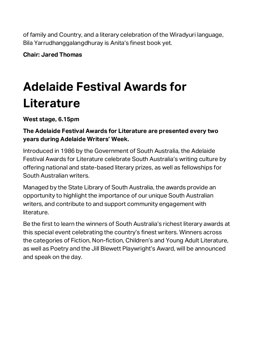of family and Country, and a literary celebration of the Wiradyuri language, Bila Yarrudhanggalangdhuray is Anita's finest book yet.

**Chair: Jared Thomas**

## **Adelaide Festival Awards for Literature**

**West stage, 6.15pm**

### **The Adelaide Festival Awards for Literature are presented every two years during Adelaide Writers' Week.**

Introduced in 1986 by the Government of South Australia, the Adelaide Festival Awards for Literature celebrate South Australia's writing culture by offering national and state-based literary prizes, as well as fellowships for South Australian writers.

Managed by the State Library of South Australia, the awards provide an opportunity to highlight the importance of our unique South Australian writers, and contribute to and support community engagement with literature.

Be the first to learn the winners of South Australia's richest literary awards at this special event celebrating the country's finest writers. Winners across the categories of Fiction, Non-fiction, Children's and Young Adult Literature, as well as Poetry and the Jill Blewett Playwright's Award, will be announced and speak on the day.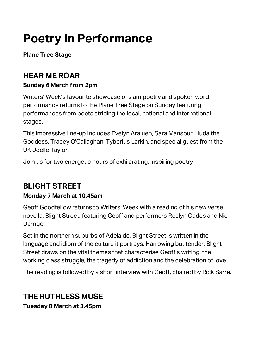## **Poetry In Performance**

**Plane Tree Stage** 

### **HEAR ME ROAR**

### **Sunday 6 March from 2pm**

Writers' Week's favourite showcase of slam poetry and spoken word performance returns to the Plane Tree Stage on Sunday featuring performances from poets striding the local, national and international stages.

This impressive line-up includes Evelyn Araluen, Sara Mansour, Huda the Goddess, Tracey O'Callaghan, Tyberius Larkin, and special guest from the UK Joelle Taylor.

Join us for two energetic hours of exhilarating, inspiring poetry

### **BLIGHT STREET**

### **Monday 7 March at 10.45am**

Geoff Goodfellow returns to Writers' Week with a reading of his new verse novella, Blight Street, featuring Geoff and performers Roslyn Oades and Nic Darrigo.

Set in the northern suburbs of Adelaide, Blight Street is written in the language and idiom of the culture it portrays. Harrowing but tender, Blight Street draws on the vital themes that characterise Geoff's writing: the working class struggle, the tragedy of addiction and the celebration of love.

The reading is followed by a short interview with Geoff, chaired by Rick Sarre.

### **THE RUTHLESS MUSE**

**Tuesday 8 March at 3.45pm**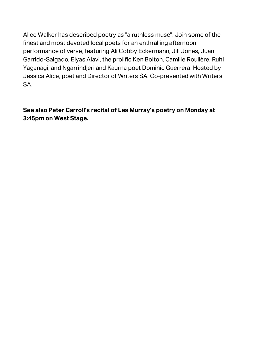Alice Walker has described poetry as "a ruthless muse". Join some of the finest and most devoted local poets for an enthralling afternoon performance of verse, featuring Ali Cobby Eckermann, Jill Jones, Juan Garrido-Salgado, Elyas Alavi, the prolific Ken Bolton, Camille Roulière, Ruhi Yaganagi, and Ngarrindjeri and Kaurna poet Dominic Guerrera. Hosted by Jessica Alice, poet and Director of Writers SA. Co-presented with Writers SA.

**See also Peter Carroll's recital of Les Murray's poetry on Monday at 3:45pm on West Stage.**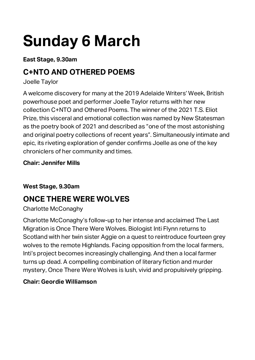# **Sunday 6 March**

**East Stage, 9.30am**

### **C+NTO AND OTHERED POEMS**

Joelle Taylor

A welcome discovery for many at the 2019 Adelaide Writers' Week, British powerhouse poet and performer Joelle Taylor returns with her new collection C+NTO and Othered Poems. The winner of the 2021 T.S. Eliot Prize, this visceral and emotional collection was named by New Statesman as the poetry book of 2021 and described as "one of the most astonishing and original poetry collections of recent years". Simultaneously intimate and epic, its riveting exploration of gender confirms Joelle as one of the key chroniclers of her community and times.

### **Chair: Jennifer Mills**

### **West Stage, 9.30am**

### **ONCE THERE WERE WOLVES**

### Charlotte McConaghy

Charlotte McConaghy's follow-up to her intense and acclaimed The Last Migration is Once There Were Wolves. Biologist Inti Flynn returns to Scotland with her twin sister Aggie on a quest to reintroduce fourteen grey wolves to the remote Highlands. Facing opposition from the local farmers, Inti's project becomes increasingly challenging. And then a local farmer turns up dead. A compelling combination of literary fiction and murder mystery, Once There Were Wolves is lush, vivid and propulsively gripping.

### **Chair: Geordie Williamson**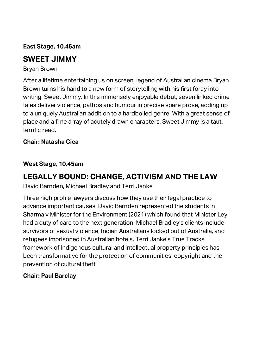**East Stage, 10.45am**

### **SWEET JIMMY**

Bryan Brown

After a lifetime entertaining us on screen, legend of Australian cinema Bryan Brown turns his hand to a new form of storytelling with his first foray into writing, Sweet Jimmy. In this immensely enjoyable debut, seven linked crime tales deliver violence, pathos and humour in precise spare prose, adding up to a uniquely Australian addition to a hardboiled genre. With a great sense of place and a fi ne array of acutely drawn characters, Sweet Jimmy is a taut, terrific read.

### **Chair: Natasha Cica**

### **West Stage, 10.45am**

### **LEGALLY BOUND: CHANGE, ACTIVISM AND THE LAW**

David Barnden, Michael Bradley and Terri Janke

Three high profile lawyers discuss how they use their legal practice to advance important causes. David Barnden represented the students in Sharma v Minister for the Environment (2021) which found that Minister Ley had a duty of care to the next generation. Michael Bradley's clients include survivors of sexual violence, Indian Australians locked out of Australia, and refugees imprisoned in Australian hotels. Terri Janke's True Tracks framework of Indigenous cultural and intellectual property principles has been transformative for the protection of communities' copyright and the prevention of cultural theft.

### **Chair: Paul Barclay**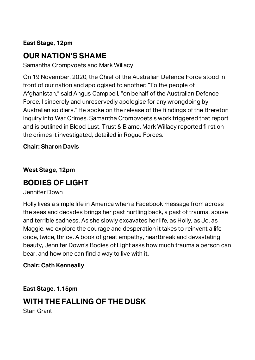### **East Stage, 12pm**

### **OUR NATION'S SHAME**

Samantha Crompvoets and Mark Willacy

On 19 November, 2020, the Chief of the Australian Defence Force stood in front of our nation and apologised to another: "To the people of Afghanistan," said Angus Campbell, "on behalf of the Australian Defence Force, I sincerely and unreservedly apologise for any wrongdoing by Australian soldiers." He spoke on the release of the fi ndings of the Brereton Inquiry into War Crimes. Samantha Crompvoets's work triggered that report and is outlined in Blood Lust, Trust & Blame. Mark Willacy reported fi rst on the crimes it investigated, detailed in Rogue Forces.

#### **Chair: Sharon Davis**

#### **West Stage, 12pm**

### **BODIES OF LIGHT**

Jennifer Down

Holly lives a simple life in America when a Facebook message from across the seas and decades brings her past hurtling back, a past of trauma, abuse and terrible sadness. As she slowly excavates her life, as Holly, as Jo, as Maggie, we explore the courage and desperation it takes to reinvent a life once, twice, thrice. A book of great empathy, heartbreak and devastating beauty, Jennifer Down's Bodies of Light asks how much trauma a person can bear, and how one can find a way to live with it.

#### **Chair: Cath Kenneally**

**East Stage, 1.15pm**

### **WITH THE FALLING OF THE DUSK**

Stan Grant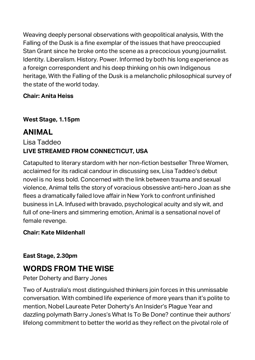Weaving deeply personal observations with geopolitical analysis, With the Falling of the Dusk is a fine exemplar of the issues that have preoccupied Stan Grant since he broke onto the scene as a precocious young journalist. Identity. Liberalism. History. Power. Informed by both his long experience as a foreign correspondent and his deep thinking on his own Indigenous heritage, With the Falling of the Dusk is a melancholic philosophical survey of the state of the world today.

### **Chair: Anita Heiss**

### **West Stage, 1.15pm**

### **ANIMAL**

### Lisa Taddeo **LIVE STREAMED FROM CONNECTICUT, USA**

Catapulted to literary stardom with her non-fiction bestseller Three Women, acclaimed for its radical candour in discussing sex, Lisa Taddeo's debut novel is no less bold. Concerned with the link between trauma and sexual violence, Animal tells the story of voracious obsessive anti-hero Joan as she flees a dramatically failed love affair in New York to confront unfinished business in LA. Infused with bravado, psychological acuity and sly wit, and full of one-liners and simmering emotion, Animal is a sensational novel of female revenge.

### **Chair: Kate Mildenhall**

#### **East Stage, 2.30pm**

### **WORDS FROM THE WISE**

### Peter Doherty and Barry Jones

Two of Australia's most distinguished thinkers join forces in this unmissable conversation. With combined life experience of more years than it's polite to mention, Nobel Laureate Peter Doherty's An Insider's Plague Year and dazzling polymath Barry Jones's What Is To Be Done? continue their authors' lifelong commitment to better the world as they reflect on the pivotal role of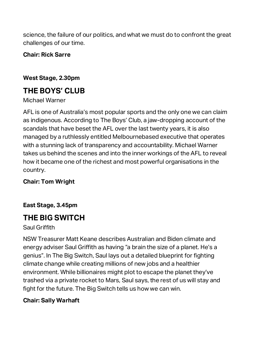science, the failure of our politics, and what we must do to confront the great challenges of our time.

#### **Chair: Rick Sarre**

#### **West Stage, 2.30pm**

### **THE BOYS' CLUB**

#### Michael Warner

AFL is one of Australia's most popular sports and the only one we can claim as indigenous. According to The Boys' Club, a jaw-dropping account of the scandals that have beset the AFL over the last twenty years, it is also managed by a ruthlessly entitled Melbournebased executive that operates with a stunning lack of transparency and accountability. Michael Warner takes us behind the scenes and into the inner workings of the AFL to reveal how it became one of the richest and most powerful organisations in the country.

#### **Chair: Tom Wright**

### **East Stage, 3.45pm**

### **THE BIG SWITCH**

#### Saul Griffith

NSW Treasurer Matt Keane describes Australian and Biden climate and energy adviser Saul Griffith as having "a brain the size of a planet. He's a genius". In The Big Switch, Saul lays out a detailed blueprint for fighting climate change while creating millions of new jobs and a healthier environment. While billionaires might plot to escape the planet they've trashed via a private rocket to Mars, Saul says, the rest of us will stay and fight for the future. The Big Switch tells us how we can win.

#### **Chair: Sally Warhaft**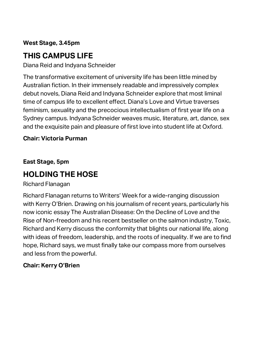### **West Stage, 3.45pm**

### **THIS CAMPUS LIFE**

Diana Reid and Indyana Schneider

The transformative excitement of university life has been little mined by Australian fiction. In their immensely readable and impressively complex debut novels, Diana Reid and Indyana Schneider explore that most liminal time of campus life to excellent effect. Diana's Love and Virtue traverses feminism, sexuality and the precocious intellectualism of first year life on a Sydney campus. Indyana Schneider weaves music, literature, art, dance, sex and the exquisite pain and pleasure of first love into student life at Oxford.

#### **Chair: Victoria Purman**

**East Stage, 5pm**

### **HOLDING THE HOSE**

Richard Flanagan

Richard Flanagan returns to Writers' Week for a wide-ranging discussion with Kerry O'Brien. Drawing on his journalism of recent years, particularly his now iconic essay The Australian Disease: On the Decline of Love and the Rise of Non-freedom and his recent bestseller on the salmon industry, Toxic, Richard and Kerry discuss the conformity that blights our national life, along with ideas of freedom, leadership, and the roots of inequality. If we are to find hope, Richard says, we must finally take our compass more from ourselves and less from the powerful.

### **Chair: Kerry O'Brien**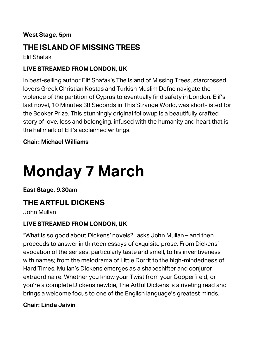#### **West Stage, 5pm**

### **THE ISLAND OF MISSING TREES**

Elif Shafak

#### **LIVE STREAMED FROM LONDON, UK**

In best-selling author Elif Shafak's The Island of Missing Trees, starcrossed lovers Greek Christian Kostas and Turkish Muslim Defne navigate the violence of the partition of Cyprus to eventually find safety in London. Elif's last novel, 10 Minutes 38 Seconds in This Strange World, was short-listed for the Booker Prize. This stunningly original followup is a beautifully crafted story of love, loss and belonging, infused with the humanity and heart that is the hallmark of Elif's acclaimed writings.

#### **Chair: Michael Williams**

# **Monday 7 March**

**East Stage, 9.30am**

### **THE ARTFUL DICKENS**

John Mullan

### **LIVE STREAMED FROM LONDON, UK**

"What is so good about Dickens' novels?" asks John Mullan – and then proceeds to answer in thirteen essays of exquisite prose. From Dickens' evocation of the senses, particularly taste and smell, to his inventiveness with names; from the melodrama of Little Dorrit to the high-mindedness of Hard Times, Mullan's Dickens emerges as a shapeshifter and conjuror extraordinaire. Whether you know your Twist from your Copperfi eld, or you're a complete Dickens newbie, The Artful Dickens is a riveting read and brings a welcome focus to one of the English language's greatest minds.

#### **Chair: Linda Jaivin**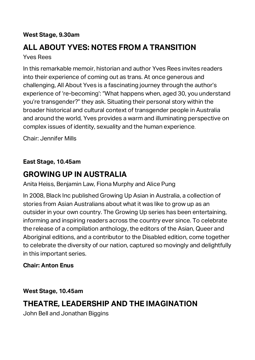#### **West Stage, 9.30am**

### **ALL ABOUT YVES: NOTES FROM A TRANSITION**

Yves Rees

In this remarkable memoir, historian and author Yves Rees invites readers into their experience of coming out as trans. At once generous and challenging, All About Yves is a fascinating journey through the author's experience of 're-becoming': "What happens when, aged 30, you understand you're transgender?" they ask. Situating their personal story within the broader historical and cultural context of transgender people in Australia and around the world, Yves provides a warm and illuminating perspective on complex issues of identity, sexuality and the human experience.

Chair: Jennifer Mills

**East Stage, 10.45am**

### **GROWING UP IN AUSTRALIA**

Anita Heiss, Benjamin Law, Fiona Murphy and Alice Pung

In 2008, Black Inc published Growing Up Asian in Australia, a collection of stories from Asian Australians about what it was like to grow up as an outsider in your own country. The Growing Up series has been entertaining, informing and inspiring readers across the country ever since. To celebrate the release of a compilation anthology, the editors of the Asian, Queer and Aboriginal editions, and a contributor to the Disabled edition, come together to celebrate the diversity of our nation, captured so movingly and delightfully in this important series.

#### **Chair: Anton Enus**

**West Stage, 10.45am**

### **THEATRE, LEADERSHIP AND THE IMAGINATION**

John Bell and Jonathan Biggins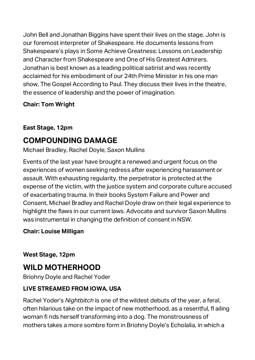John Bell and Jonathan Biggins have spent their lives on the stage. John is our foremost interpreter of Shakespeare. He documents lessons from Shakespeare's plays in Some Achieve Greatness: Lessons on Leadership and Character from Shakespeare and One of His Greatest Admirers. Jonathan is best known as a leading political satirist and was recently acclaimed for his embodiment of our 24th Prime Minister in his one man show, The Gospel According to Paul. They discuss their lives in the theatre, the essence of leadership and the power of imagination.

### **Chair: Tom Wright**

### **East Stage, 12pm**

### **COMPOUNDING DAMAGE**

Michael Bradley, Rachel Doyle, Saxon Mullins

Events of the last year have brought a renewed and urgent focus on the experiences of women seeking redress after experiencing harassment or assault. With exhausting regularity, the perpetrator is protected at the expense of the victim, with the justice system and corporate culture accused of exacerbating trauma. In their books System Failure and Power and Consent, Michael Bradley and Rachel Doyle draw on their legal experience to highlight the flaws in our current laws. Advocate and survivor Saxon Mullins was instrumental in changing the definition of consent in NSW.

### **Chair: Louise Milligan**

**West Stage, 12pm**

### **WILD MOTHERHOOD**

Briohny Doyle and Rachel Yoder

### **LIVE STREAMED FROM IOWA, USA**

Rachel Yoder's *Nightbitch* is one of the wildest debuts of the year, a feral, often hilarious take on the impact of new motherhood, as a resentful, fl ailing woman fi nds herself transforming into a dog. The monstrousness of mothers takes a more sombre form in Briohny Doyle's Echolalia, in which a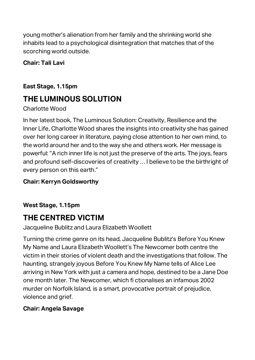young mother's alienation from her family and the shrinking world she inhabits lead to a psychological disintegration that matches that of the scorching world outside.

### **Chair: Tali Lavi**

### **East Stage, 1.15pm**

### **THE LUMINOUS SOLUTION**

### Charlotte Wood

In her latest book, The Luminous Solution: Creativity, Resilience and the Inner Life, Charlotte Wood shares the insights into creativity she has gained over her long career in literature, paying close attention to her own mind, to the world around her and to the way she and others work. Her message is powerful: "A rich inner life is not just the preserve of the arts. The joys, fears and profound self-discoveries of creativity … I believe to be the birthright of every person on this earth."

### **Chair: Kerryn Goldsworthy**

### **West Stage, 1.15pm**

### **THE CENTRED VICTIM**

### Jacqueline Bublitz and Laura Elizabeth Woollett

Turning the crime genre on its head, Jacqueline Bublitz's Before You Knew My Name and Laura Elizabeth Woollett's The Newcomer both centre the victim in their stories of violent death and the investigations that follow. The haunting, strangely joyous Before You Knew My Name tells of Alice Lee arriving in New York with just a camera and hope, destined to be a Jane Doe one month later. The Newcomer, which fi ctionalises an infamous 2002 murder on Norfolk Island, is a smart, provocative portrait of prejudice, violence and grief.

### **Chair: Angela Savage**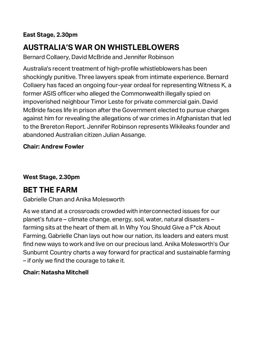### **East Stage, 2.30pm**

### **AUSTRALIA'S WAR ON WHISTLEBLOWERS**

Bernard Collaery, David McBride and Jennifer Robinson

Australia's recent treatment of high-profile whistleblowers has been shockingly punitive. Three lawyers speak from intimate experience. Bernard Collaery has faced an ongoing four-year ordeal for representing Witness K, a former ASIS officer who alleged the Commonwealth illegally spied on impoverished neighbour Timor Leste for private commercial gain. David McBride faces life in prison after the Government elected to pursue charges against him for revealing the allegations of war crimes in Afghanistan that led to the Brereton Report. Jennifer Robinson represents Wikileaks founder and abandoned Australian citizen Julian Assange.

#### **Chair: Andrew Fowler**

#### **West Stage, 2.30pm**

### **BET THE FARM**

#### Gabrielle Chan and Anika Molesworth

As we stand at a crossroads crowded with interconnected issues for our planet's future – climate change, energy, soil, water, natural disasters – farming sits at the heart of them all. In Why You Should Give a F\*ck About Farming, Gabrielle Chan lays out how our nation, its leaders and eaters must find new ways to work and live on our precious land. Anika Molesworth's Our Sunburnt Country charts a way forward for practical and sustainable farming – if only we find the courage to take it.

#### **Chair: Natasha Mitchell**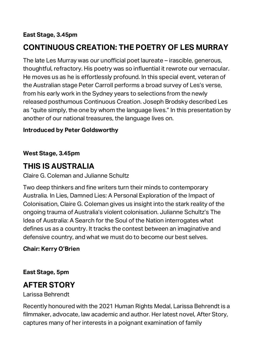#### **East Stage, 3.45pm**

### **CONTINUOUS CREATION: THE POETRY OF LES MURRAY**

The late Les Murray was our unofficial poet laureate – irascible, generous, thoughtful, refractory. His poetry was so influential it rewrote our vernacular. He moves us as he is effortlessly profound. In this special event, veteran of the Australian stage Peter Carroll performs a broad survey of Les's verse, from his early work in the Sydney years to selections from the newly released posthumous Continuous Creation. Joseph Brodsky described Les as "quite simply, the one by whom the language lives." In this presentation by another of our national treasures, the language lives on.

#### **Introduced by Peter Goldsworthy**

#### **West Stage, 3.45pm**

### **THIS IS AUSTRALIA**

Claire G. Coleman and Julianne Schultz

Two deep thinkers and fine writers turn their minds to contemporary Australia. In Lies, Damned Lies: A Personal Exploration of the Impact of Colonisation, Claire G. Coleman gives us insight into the stark reality of the ongoing trauma of Australia's violent colonisation. Julianne Schultz's The Idea of Australia: A Search for the Soul of the Nation interrogates what defines us as a country. It tracks the contest between an imaginative and defensive country, and what we must do to become our best selves.

#### **Chair: Kerry O'Brien**

#### **East Stage, 5pm**

### **AFTER STORY**

Larissa Behrendt

Recently honoured with the 2021 Human Rights Medal, Larissa Behrendt is a filmmaker, advocate, law academic and author. Her latest novel, After Story, captures many of her interests in a poignant examination of family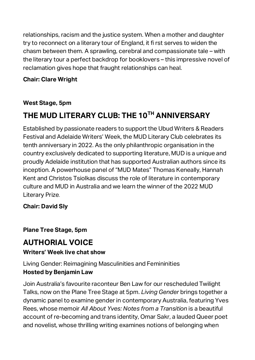relationships, racism and the justice system. When a mother and daughter try to reconnect on a literary tour of England, it fi rst serves to widen the chasm between them. A sprawling, cerebral and compassionate tale – with the literary tour a perfect backdrop for booklovers – this impressive novel of reclamation gives hope that fraught relationships can heal.

### **Chair: Clare Wright**

### **West Stage, 5pm**

### **THE MUD LITERARY CLUB: THE 10TH ANNIVERSARY**

Established by passionate readers to support the Ubud Writers & Readers Festival and Adelaide Writers' Week, the MUD Literary Club celebrates its tenth anniversary in 2022. As the only philanthropic organisation in the country exclusively dedicated to supporting literature, MUD is a unique and proudly Adelaide institution that has supported Australian authors since its inception. A powerhouse panel of "MUD Mates" Thomas Keneally, Hannah Kent and Christos Tsiolkas discuss the role of literature in contemporary culture and MUD in Australia and we learn the winner of the 2022 MUD Literary Prize.

### **Chair: David Sly**

### **Plane Tree Stage, 5pm**

### **AUTHORIAL VOICE**

### **Writers' Week live chat show**

Living Gender: Reimagining Masculinities and Femininities **Hosted by Benjamin Law**

Join Australia's favourite raconteur Ben Law for our rescheduled Twilight Talks, now on the Plane Tree Stage at 5pm. *Living Gender* brings together a dynamic panel to examine gender in contemporary Australia, featuring Yves Rees, whose memoir *All About Yves: Notes from a Transition* is a beautiful account of re-becoming and trans identity, Omar Sakr, a lauded Queer poet and novelist, whose thrilling writing examines notions of belonging when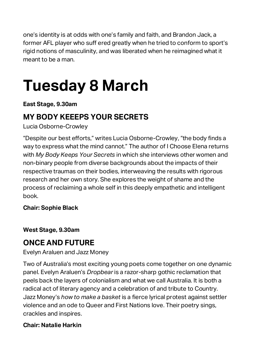one's identity is at odds with one's family and faith, and Brandon Jack, a former AFL player who suff ered greatly when he tried to conform to sport's rigid notions of masculinity, and was liberated when he reimagined what it meant to be a man.

# **Tuesday 8 March**

### **East Stage, 9.30am**

### **MY BODY KEEEPS YOUR SECRETS**

Lucia Osborne-Crowley

"Despite our best efforts," writes Lucia Osborne-Crowley, "the body finds a way to express what the mind cannot." The author of I Choose Elena returns with *My Body Keeps Your Secrets* in which she interviews other women and non-binary people from diverse backgrounds about the impacts of their respective traumas on their bodies, interweaving the results with rigorous research and her own story. She explores the weight of shame and the process of reclaiming a whole self in this deeply empathetic and intelligent book.

### **Chair: Sophie Black**

**West Stage, 9.30am**

### **ONCE AND FUTURE**

### Evelyn Araluen and Jazz Money

Two of Australia's most exciting young poets come together on one dynamic panel. Evelyn Araluen's *Dropbear* is a razor-sharp gothic reclamation that peels back the layers of colonialism and what we call Australia. It is both a radical act of literary agency and a celebration of and tribute to Country. Jazz Money's *how to make a basket* is a fierce lyrical protest against settler violence and an ode to Queer and First Nations love. Their poetry sings, crackles and inspires.

### **Chair: Natalie Harkin**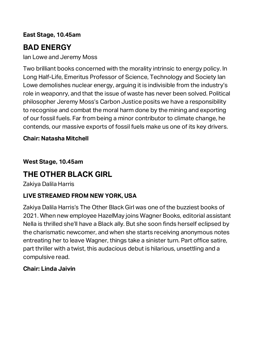### **East Stage, 10.45am**

### **BAD ENERGY**

Ian Lowe and Jeremy Moss

Two brilliant books concerned with the morality intrinsic to energy policy. In Long Half-Life, Emeritus Professor of Science, Technology and Society Ian Lowe demolishes nuclear energy, arguing it is indivisible from the industry's role in weaponry, and that the issue of waste has never been solved. Political philosopher Jeremy Moss's Carbon Justice posits we have a responsibility to recognise and combat the moral harm done by the mining and exporting of our fossil fuels. Far from being a minor contributor to climate change, he contends, our massive exports of fossil fuels make us one of its key drivers.

#### **Chair: Natasha Mitchell**

**West Stage, 10.45am**

### **THE OTHER BLACK GIRL**

Zakiya Dalila Harris

### **LIVE STREAMED FROM NEW YORK, USA**

Zakiya Dalila Harris's The Other Black Girl was one of the buzziest books of 2021. When new employee HazelMay joins Wagner Books, editorial assistant Nella is thrilled she'll have a Black ally. But she soon finds herself eclipsed by the charismatic newcomer, and when she starts receiving anonymous notes entreating her to leave Wagner, things take a sinister turn. Part office satire, part thriller with a twist, this audacious debut is hilarious, unsettling and a compulsive read.

#### **Chair: Linda Jaivin**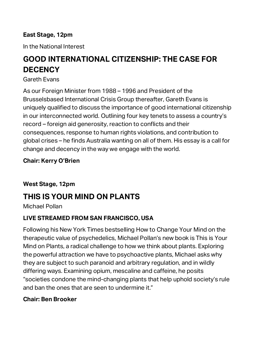### **East Stage, 12pm**

In the National Interest

### **GOOD INTERNATIONAL CITIZENSHIP: THE CASE FOR DECENCY**

#### Gareth Evans

As our Foreign Minister from 1988 – 1996 and President of the Brusselsbased International Crisis Group thereafter, Gareth Evans is uniquely qualified to discuss the importance of good international citizenship in our interconnected world. Outlining four key tenets to assess a country's record – foreign aid generosity, reaction to conflicts and their consequences, response to human rights violations, and contribution to global crises – he finds Australia wanting on all of them. His essay is a call for change and decency in the way we engage with the world.

### **Chair: Kerry O'Brien**

#### **West Stage, 12pm**

### **THIS IS YOUR MIND ON PLANTS**

Michael Pollan

### **LIVE STREAMED FROM SAN FRANCISCO, USA**

Following his New York Times bestselling How to Change Your Mind on the therapeutic value of psychedelics, Michael Pollan's new book is This is Your Mind on Plants, a radical challenge to how we think about plants. Exploring the powerful attraction we have to psychoactive plants, Michael asks why they are subject to such paranoid and arbitrary regulation, and in wildly differing ways. Examining opium, mescaline and caffeine, he posits "societies condone the mind-changing plants that help uphold society's rule and ban the ones that are seen to undermine it."

### **Chair: Ben Brooker**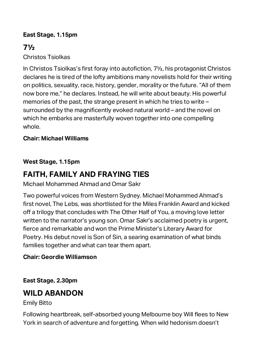### **East Stage, 1.15pm**

### **7½**

Christos Tsiolkas

In Christos Tsiolkas's first foray into autofiction, 7½, his protagonist Christos declares he is tired of the lofty ambitions many novelists hold for their writing on politics, sexuality, race, history, gender, morality or the future. "All of them now bore me," he declares. Instead, he will write about beauty. His powerful memories of the past, the strange present in which he tries to write – surrounded by the magnificently evoked natural world – and the novel on which he embarks are masterfully woven together into one compelling whole.

### **Chair: Michael Williams**

### **West Stage, 1.15pm**

### **FAITH, FAMILY AND FRAYING TIES**

Michael Mohammed Ahmad and Omar Sakr

Two powerful voices from Western Sydney. Michael Mohammed Ahmad's first novel, The Lebs, was shortlisted for the Miles Franklin Award and kicked off a trilogy that concludes with The Other Half of You, a moving love letter written to the narrator's young son. Omar Sakr's acclaimed poetry is urgent, fierce and remarkable and won the Prime Minister's Literary Award for Poetry. His debut novel is Son of Sin, a searing examination of what binds families together and what can tear them apart.

#### **Chair: Geordie Williamson**

**East Stage, 2.30pm**

### **WILD ABANDON**

Emily Bitto

Following heartbreak, self-absorbed young Melbourne boy Will flees to New York in search of adventure and forgetting. When wild hedonism doesn't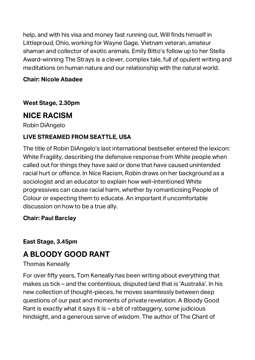help, and with his visa and money fast running out, Will finds himself in Littleproud, Ohio, working for Wayne Gage, Vietnam veteran, amateur shaman and collector of exotic animals. Emily Bitto's follow up to her Stella Award-winning The Strays is a clever, complex tale, full of opulent writing and meditations on human nature and our relationship with the natural world.

### **Chair: Nicole Abadee**

**West Stage, 2.30pm**

### **NICE RACISM**

Robin DiAngelo

### **LIVE STREAMED FROM SEATTLE, USA**

The title of Robin DiAngelo's last international bestseller entered the lexicon: White Fragility, describing the defensive response from White people when called out for things they have said or done that have caused unintended racial hurt or offence. In Nice Racism, Robin draws on her background as a sociologist and an educator to explain how well-intentioned White progressives can cause racial harm, whether by romanticising People of Colour or expecting them to educate. An important if uncomfortable discussion on how to be a true ally.

### **Chair: Paul Barclay**

**East Stage, 3.45pm**

### **A BLOODY GOOD RANT**

#### Thomas Keneally

For over fifty years, Tom Keneally has been writing about everything that makes us tick – and the contentious, disputed land that is 'Australia'. In his new collection of thought-pieces, he moves seamlessly between deep questions of our past and moments of private revelation. A Bloody Good Rant is exactly what it says it is  $-$  a bit of ratbaggery, some judicious hindsight, and a generous serve of wisdom. The author of The Chant of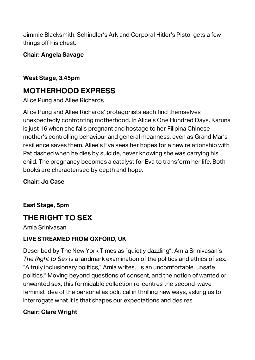Jimmie Blacksmith, Schindler's Ark and Corporal Hitler's Pistol gets a few things off his chest.

### **Chair; Angela Savage**

### **West Stage, 3.45pm**

### **MOTHERHOOD EXPRESS**

Alice Pung and Allee Richards

Alice Pung and Allee Richards' protagonists each find themselves unexpectedly confronting motherhood. In Alice's One Hundred Days, Karuna is just 16 when she falls pregnant and hostage to her Filipina Chinese mother's controlling behaviour and general meanness, even as Grand Mar's resilience saves them. Allee's Eva sees her hopes for a new relationship with Pat dashed when he dies by suicide, never knowing she was carrying his child. The pregnancy becomes a catalyst for Eva to transform her life. Both books are characterised by depth and hope.

**Chair: Jo Case**

**East Stage, 5pm**

### **THE RIGHT TO SEX**

Amia Srinivasan

### **LIVE STREAMED FROM OXFORD, UK**

Described by The New York Times as "quietly dazzling", Amia Srinivasan's *The Right to Sex* is a landmark examination of the politics and ethics of sex. "A truly inclusionary politics," Amia writes, "is an uncomfortable, unsafe politics." Moving beyond questions of consent, and the notion of wanted or unwanted sex, this formidable collection re-centres the second-wave feminist idea of the personal as political in thrilling new ways, asking us to interrogate what it is that shapes our expectations and desires.

### **Chair: Clare Wright**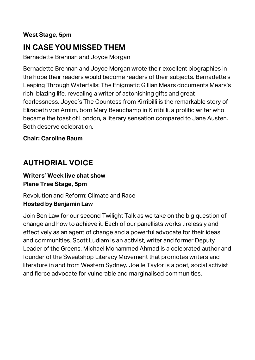### **West Stage, 5pm**

### **IN CASE YOU MISSED THEM**

Bernadette Brennan and Joyce Morgan

Bernadette Brennan and Joyce Morgan wrote their excellent biographies in the hope their readers would become readers of their subjects. Bernadette's Leaping Through Waterfalls: The Enigmatic Gillian Mears documents Mears's rich, blazing life, revealing a writer of astonishing gifts and great fearlessness. Joyce's The Countess from Kirribilli is the remarkable story of Elizabeth von Arnim, born Mary Beauchamp in Kirribilli, a prolific writer who became the toast of London, a literary sensation compared to Jane Austen. Both deserve celebration.

#### **Chair: Caroline Baum**

### **AUTHORIAL VOICE**

#### **Writers' Week live chat show Plane Tree Stage, 5pm**

### Revolution and Reform: Climate and Race **Hosted by Benjamin Law**

Join Ben Law for our second Twilight Talk as we take on the big question of change and how to achieve it. Each of our panellists works tirelessly and effectively as an agent of change and a powerful advocate for their ideas and communities. Scott Ludlam is an activist, writer and former Deputy Leader of the Greens. Michael Mohammed Ahmad is a celebrated author and founder of the Sweatshop Literacy Movement that promotes writers and literature in and from Western Sydney. Joelle Taylor is a poet, social activist and fierce advocate for vulnerable and marginalised communities.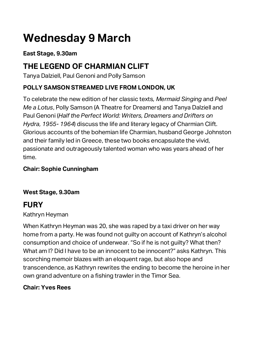## **Wednesday 9 March**

### **East Stage, 9.30am**

### **THE LEGEND OF CHARMIAN CLIFT**

Tanya Dalziell, Paul Genoni and Polly Samson

### **POLLY SAMSON STREAMED LIVE FROM LONDON, UK**

To celebrate the new edition of her classic texts*, Mermaid Singing* and *Peel Me a Lotus*, Polly Samson (A Theatre for Dreamers) and Tanya Dalziell and Paul Genoni (*Half the Perfect World: Writers, Dreamers and Drifters on Hydra, 1955- 1964*) discuss the life and literary legacy of Charmian Clift. Glorious accounts of the bohemian life Charmian, husband George Johnston and their family led in Greece, these two books encapsulate the vivid, passionate and outrageously talented woman who was years ahead of her time.

### **Chair: Sophie Cunningham**

### **West Stage, 9.30am**

### **FURY**

### Kathryn Heyman

When Kathryn Heyman was 20, she was raped by a taxi driver on her way home from a party. He was found not guilty on account of Kathryn's alcohol consumption and choice of underwear. "So if he is not guilty? What then? What am I? Did I have to be an innocent to be innocent?" asks Kathryn. This scorching memoir blazes with an eloquent rage, but also hope and transcendence, as Kathryn rewrites the ending to become the heroine in her own grand adventure on a fishing trawler in the Timor Sea.

### **Chair: Yves Rees**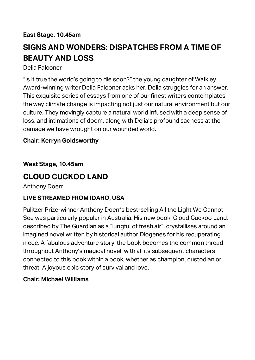#### **East Stage, 10.45am**

### **SIGNS AND WONDERS: DISPATCHES FROM A TIME OF BEAUTY AND LOSS**

#### Delia Falconer

"Is it true the world's going to die soon?" the young daughter of Walkley Award-winning writer Delia Falconer asks her. Delia struggles for an answer. This exquisite series of essays from one of our finest writers contemplates the way climate change is impacting not just our natural environment but our culture. They movingly capture a natural world infused with a deep sense of loss, and intimations of doom, along with Delia's profound sadness at the damage we have wrought on our wounded world.

#### **Chair: Kerryn Goldsworthy**

#### **West Stage, 10.45am**

### **CLOUD CUCKOO LAND**

Anthony Doerr

### **LIVE STREAMED FROM IDAHO, USA**

Pulitzer Prize-winner Anthony Doerr's best-selling All the Light We Cannot See was particularly popular in Australia. His new book, Cloud Cuckoo Land, described by The Guardian as a "lungful of fresh air", crystallises around an imagined novel written by historical author Diogenes for his recuperating niece. A fabulous adventure story, the book becomes the common thread throughout Anthony's magical novel, with all its subsequent characters connected to this book within a book, whether as champion, custodian or threat. A joyous epic story of survival and love.

#### **Chair: Michael Williams**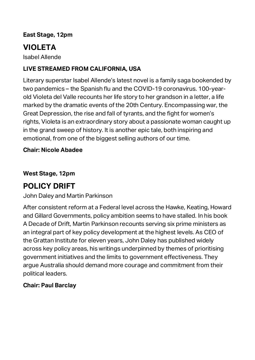### **East Stage, 12pm**

### **VIOLETA**

Isabel Allende

### **LIVE STREAMED FROM CALIFORNIA, USA**

Literary superstar Isabel Allende's latest novel is a family saga bookended by two pandemics – the Spanish flu and the COVID-19 coronavirus. 100-yearold Violeta del Valle recounts her life story to her grandson in a letter, a life marked by the dramatic events of the 20th Century. Encompassing war, the Great Depression, the rise and fall of tyrants, and the fight for women's rights, Violeta is an extraordinary story about a passionate woman caught up in the grand sweep of history. It is another epic tale, both inspiring and emotional, from one of the biggest selling authors of our time.

#### **Chair: Nicole Abadee**

**West Stage, 12pm**

### **POLICY DRIFT**

John Daley and Martin Parkinson

After consistent reform at a Federal level across the Hawke, Keating, Howard and Gillard Governments, policy ambition seems to have stalled. In his book A Decade of Drift, Martin Parkinson recounts serving six prime ministers as an integral part of key policy development at the highest levels. As CEO of the Grattan Institute for eleven years, John Daley has published widely across key policy areas, his writings underpinned by themes of prioritising government initiatives and the limits to government effectiveness. They argue Australia should demand more courage and commitment from their political leaders.

### **Chair: Paul Barclay**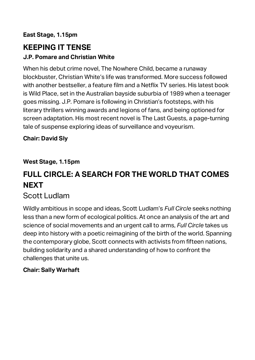### **East Stage, 1.15pm**

### **KEEPING IT TENSE J.P. Pomare and Christian White**

When his debut crime novel, The Nowhere Child, became a runaway blockbuster, Christian White's life was transformed. More success followed with another bestseller, a feature film and a Netflix TV series. His latest book is Wild Place, set in the Australian bayside suburbia of 1989 when a teenager goes missing. J.P. Pomare is following in Christian's footsteps, with his literary thrillers winning awards and legions of fans, and being optioned for screen adaptation. His most recent novel is The Last Guests, a page-turning tale of suspense exploring ideas of surveillance and voyeurism.

### **Chair: David Sly**

### **West Stage, 1.15pm**

### **FULL CIRCLE: A SEARCH FOR THE WORLD THAT COMES NEXT**

### Scott Ludlam

Wildly ambitious in scope and ideas, Scott Ludlam's *Full Circle* seeks nothing less than a new form of ecological politics. At once an analysis of the art and science of social movements and an urgent call to arms, *Full Circle* takes us deep into history with a poetic reimagining of the birth of the world. Spanning the contemporary globe, Scott connects with activists from fifteen nations, building solidarity and a shared understanding of how to confront the challenges that unite us.

### **Chair: Sally Warhaft**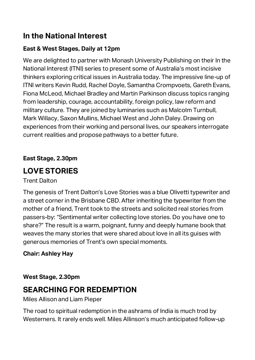### **In the National Interest**

### **East & West Stages, Daily at 12pm**

We are delighted to partner with Monash University Publishing on their In the National Interest (ITNI) series to present some of Australia's most incisive thinkers exploring critical issues in Australia today. The impressive line-up of ITNI writers Kevin Rudd, Rachel Doyle, Samantha Crompvoets, Gareth Evans, Fiona McLeod, Michael Bradley and Martin Parkinson discuss topics ranging from leadership, courage, accountability, foreign policy, law reform and military culture. They are joined by luminaries such as Malcolm Turnbull, Mark Willacy, Saxon Mullins, Michael West and John Daley. Drawing on experiences from their working and personal lives, our speakers interrogate current realities and propose pathways to a better future.

**East Stage, 2.30pm**

### **LOVE STORIES**

Trent Dalton

The genesis of Trent Dalton's Love Stories was a blue Olivetti typewriter and a street corner in the Brisbane CBD. After inheriting the typewriter from the mother of a friend, Trent took to the streets and solicited real stories from passers-by: "Sentimental writer collecting love stories. Do you have one to share?" The result is a warm, poignant, funny and deeply humane book that weaves the many stories that were shared about love in all its guises with generous memories of Trent's own special moments.

### **Chair: Ashley Hay**

**West Stage, 2.30pm**

### **SEARCHING FOR REDEMPTION**

Miles Allison and Liam Pieper

The road to spiritual redemption in the ashrams of India is much trod by Westerners. It rarely ends well. Miles Allinson's much anticipated follow-up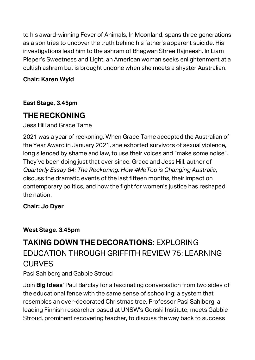to his award-winning Fever of Animals, In Moonland, spans three generations as a son tries to uncover the truth behind his father's apparent suicide. His investigations lead him to the ashram of Bhagwan Shree Rajneesh. In Liam Pieper's Sweetness and Light, an American woman seeks enlightenment at a cultish ashram but is brought undone when she meets a shyster Australian.

### **Chair: Karen Wyld**

**East Stage, 3.45pm**

### **THE RECKONING**

Jess Hill and Grace Tame

2021 was a year of reckoning. When Grace Tame accepted the Australian of the Year Award in January 2021, she exhorted survivors of sexual violence, long silenced by shame and law, to use their voices and "make some noise". They've been doing just that ever since. Grace and Jess Hill, author of *Quarterly Essay 84: The Reckoning: How #MeToo is Changing Australia*, discuss the dramatic events of the last fifteen months, their impact on contemporary politics, and how the fight for women's justice has reshaped the nation.

#### **Chair: Jo Dyer**

### **West Stage. 3.45pm**

### **TAKING DOWN THE DECORATIONS: FXPLORING** EDUCATION THROUGH GRIFFITH REVIEW 75: LEARNING **CURVES**

### Pasi Sahlberg and Gabbie Stroud

Join **Big Ideas'** Paul Barclay for a fascinating conversation from two sides of the educational fence with the same sense of schooling: a system that resembles an over-decorated Christmas tree. Professor Pasi Sahlberg, a leading Finnish researcher based at UNSW's Gonski Institute, meets Gabbie Stroud, prominent recovering teacher, to discuss the way back to success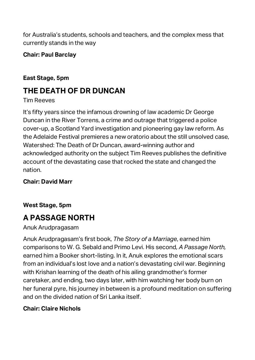for Australia's students, schools and teachers, and the complex mess that currently stands in the way

#### **Chair: Paul Barclay**

### **East Stage, 5pm**

### **THE DEATH OF DR DUNCAN**

#### Tim Reeves

It's fifty years since the infamous drowning of law academic Dr George Duncan in the River Torrens, a crime and outrage that triggered a police cover-up, a Scotland Yard investigation and pioneering gay law reform. As the Adelaide Festival premieres a new oratorio about the still unsolved case, Watershed: The Death of Dr Duncan, award-winning author and acknowledged authority on the subject Tim Reeves publishes the definitive account of the devastating case that rocked the state and changed the nation.

### **Chair: David Marr**

### **West Stage, 5pm**

### **A PASSAGE NORTH**

#### Anuk Arudpragasam

Anuk Arudpragasam's first book, *The Story of a Marriage*, earned him comparisons to W. G. Sebald and Primo Levi. His second*, A Passage North,* earned him a Booker short-listing. In it, Anuk explores the emotional scars from an individual's lost love and a nation's devastating civil war. Beginning with Krishan learning of the death of his ailing grandmother's former caretaker, and ending, two days later, with him watching her body burn on her funeral pyre, his journey in between is a profound meditation on suffering and on the divided nation of Sri Lanka itself.

### **Chair: Claire Nichols**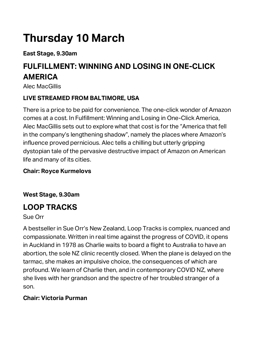## **Thursday 10 March**

**East Stage, 9.30am**

### **FULFILLMENT: WINNING AND LOSING IN ONE-CLICK AMERICA**

Alec MacGillis

### **LIVE STREAMED FROM BALTIMORE, USA**

There is a price to be paid for convenience. The one-click wonder of Amazon comes at a cost. In Fulfillment: Winning and Losing in One-Click America, Alec MacGillis sets out to explore what that cost is for the "America that fell in the company's lengthening shadow", namely the places where Amazon's influence proved pernicious. Alec tells a chilling but utterly gripping dystopian tale of the pervasive destructive impact of Amazon on American life and many of its cities.

### **Chair: Royce Kurmelovs**

**West Stage, 9.30am**

### **LOOP TRACKS**

Sue Orr

A bestseller in Sue Orr's New Zealand, Loop Tracks is complex, nuanced and compassionate. Written in real time against the progress of COVID, it opens in Auckland in 1978 as Charlie waits to board a flight to Australia to have an abortion, the sole NZ clinic recently closed. When the plane is delayed on the tarmac, she makes an impulsive choice, the consequences of which are profound. We learn of Charlie then, and in contemporary COVID NZ, where she lives with her grandson and the spectre of her troubled stranger of a son.

### **Chair: Victoria Purman**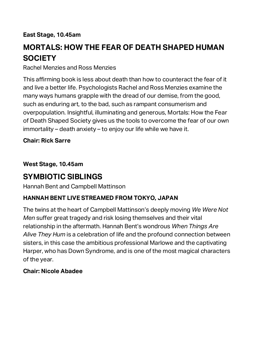#### **East Stage, 10.45am**

### **MORTALS: HOW THE FEAR OF DEATH SHAPED HUMAN SOCIETY**

Rachel Menzies and Ross Menzies

This affirming book is less about death than how to counteract the fear of it and live a better life. Psychologists Rachel and Ross Menzies examine the many ways humans grapple with the dread of our demise, from the good, such as enduring art, to the bad, such as rampant consumerism and overpopulation. Insightful, illuminating and generous, Mortals: How the Fear of Death Shaped Society gives us the tools to overcome the fear of our own immortality – death anxiety – to enjoy our life while we have it.

#### **Chair: Rick Sarre**

**West Stage, 10.45am**

### **SYMBIOTIC SIBLINGS**

Hannah Bent and Campbell Mattinson

### **HANNAH BENT LIVE STREAMED FROM TOKYO, JAPAN**

The twins at the heart of Campbell Mattinson's deeply moving *We Were Not Men* suffer great tragedy and risk losing themselves and their vital relationship in the aftermath. Hannah Bent's wondrous *When Things Are Alive They Hum* is a celebration of life and the profound connection between sisters, in this case the ambitious professional Marlowe and the captivating Harper, who has Down Syndrome, and is one of the most magical characters of the year.

#### **Chair: Nicole Abadee**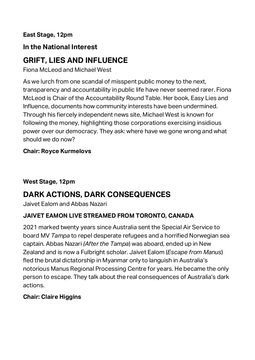**East Stage, 12pm**

### **In the National Interest**

### **GRIFT, LIES AND INFLUENCE**

Fiona McLeod and Michael West

As we lurch from one scandal of misspent public money to the next, transparency and accountability in public life have never seemed rarer. Fiona McLeod is Chair of the Accountability Round Table. Her book, Easy Lies and Influence, documents how community interests have been undermined. Through his fiercely independent news site, Michael West is known for following the money, highlighting those corporations exercising insidious power over our democracy. They ask: where have we gone wrong and what should we do now?

### **Chair: Royce Kurmelovs**

### **West Stage, 12pm**

### **DARK ACTIONS, DARK CONSEQUENCES**

Jaivet Ealom and Abbas Nazari

### **JAIVET EAMON LIVE STREAMED FROM TORONTO, CANADA**

2021 marked twenty years since Australia sent the Special Air Service to board MV *Tampa* to repel desperate refugees and a horrified Norwegian sea captain. Abbas Nazari *(After the Tampa*) was aboard, ended up in New Zealand and is now a Fulbright scholar. Jaivet Ealom (*Escape from Manus*) fled the brutal dictatorship in Myanmar only to languish in Australia's notorious Manus Regional Processing Centre for years. He became the only person to escape. They talk about the real consequences of Australia's dark actions.

### **Chair: Claire Higgins**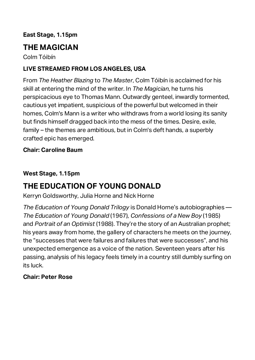### **East Stage, 1.15pm**

### **THE MAGICIAN**

Colm Tóibín

### **LIVE STREAMED FROM LOS ANGELES, USA**

From *The Heather Blazing* to *The Master*, Colm Tóibín is acclaimed for his skill at entering the mind of the writer. In *The Magician*, he turns his perspicacious eye to Thomas Mann. Outwardly genteel, inwardly tormented, cautious yet impatient, suspicious of the powerful but welcomed in their homes, Colm's Mann is a writer who withdraws from a world losing its sanity but finds himself dragged back into the mess of the times. Desire, exile, family – the themes are ambitious, but in Colm's deft hands, a superbly crafted epic has emerged.

#### **Chair: Caroline Baum**

#### **West Stage, 1.15pm**

### **THE EDUCATION OF YOUNG DONALD**

Kerryn Goldsworthy, Julia Horne and Nick Horne

*The Education of Young Donald Trilogy* is Donald Horne's autobiographies — *The Education of Young Donald* (1967), *Confessions of a New Boy* (1985) and *Portrait of an Optimist* (1988). They're the story of an Australian prophet; his years away from home, the gallery of characters he meets on the journey, the "successes that were failures and failures that were successes", and his unexpected emergence as a voice of the nation. Seventeen years after his passing, analysis of his legacy feels timely in a country still dumbly surfing on its luck.

#### **Chair: Peter Rose**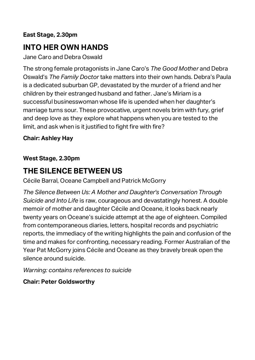#### **East Stage, 2.30pm**

### **INTO HER OWN HANDS**

Jane Caro and Debra Oswald

The strong female protagonists in Jane Caro's *The Good Mother* and Debra Oswald's *The Family Doctor* take matters into their own hands. Debra's Paula is a dedicated suburban GP, devastated by the murder of a friend and her children by their estranged husband and father. Jane's Miriam is a successful businesswoman whose life is upended when her daughter's marriage turns sour. These provocative, urgent novels brim with fury, grief and deep love as they explore what happens when you are tested to the limit, and ask when is it justified to fight fire with fire?

#### **Chair: Ashley Hay**

#### **West Stage, 2.30pm**

### **THE SILENCE BETWEEN US**

Cécile Barral, Oceane Campbell and Patrick McGorry

*The Silence Between Us: A Mother and Daughter's Conversation Through Suicide and Into Life* is raw, courageous and devastatingly honest. A double memoir of mother and daughter Cécile and Oceane, it looks back nearly twenty years on Oceane's suicide attempt at the age of eighteen. Compiled from contemporaneous diaries, letters, hospital records and psychiatric reports, the immediacy of the writing highlights the pain and confusion of the time and makes for confronting, necessary reading. Former Australian of the Year Pat McGorry joins Cécile and Oceane as they bravely break open the silence around suicide.

*Warning: contains references to suicide*

#### **Chair: Peter Goldsworthy**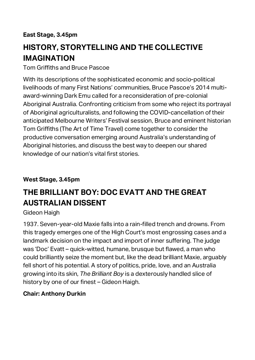**East Stage, 3.45pm**

### **HISTORY, STORYTELLING AND THE COLLECTIVE IMAGINATION**

Tom Griffiths and Bruce Pascoe

With its descriptions of the sophisticated economic and socio-political livelihoods of many First Nations' communities, Bruce Pascoe's 2014 multiaward-winning Dark Emu called for a reconsideration of pre-colonial Aboriginal Australia. Confronting criticism from some who reject its portrayal of Aboriginal agriculturalists, and following the COVID-cancellation of their anticipated Melbourne Writers' Festival session, Bruce and eminent historian Tom Griffiths (The Art of Time Travel) come together to consider the productive conversation emerging around Australia's understanding of Aboriginal histories, and discuss the best way to deepen our shared knowledge of our nation's vital first stories.

### **West Stage, 3.45pm**

### **THE BRILLIANT BOY: DOC EVATT AND THE GREAT AUSTRALIAN DISSENT**

### Gideon Haigh

1937. Seven-year-old Maxie falls into a rain-filled trench and drowns. From this tragedy emerges one of the High Court's most engrossing cases and a landmark decision on the impact and import of inner suffering. The judge was 'Doc' Evatt – quick-witted, humane, brusque but flawed, a man who could brilliantly seize the moment but, like the dead brilliant Maxie, arguably fell short of his potential. A story of politics, pride, love, and an Australia growing into its skin, *The Brilliant Boy* is a dexterously handled slice of history by one of our finest – Gideon Haigh.

### **Chair: Anthony Durkin**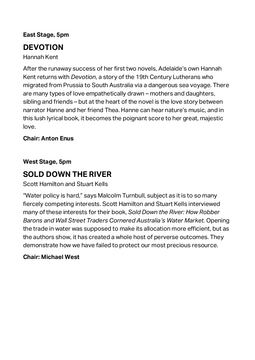### **East Stage, 5pm**

### **DEVOTION**

Hannah Kent

After the runaway success of her first two novels, Adelaide's own Hannah Kent returns with *Devotion*, a story of the 19th Century Lutherans who migrated from Prussia to South Australia via a dangerous sea voyage. There are many types of love empathetically drawn – mothers and daughters, sibling and friends – but at the heart of the novel is the love story between narrator Hanne and her friend Thea. Hanne can hear nature's music, and in this lush lyrical book, it becomes the poignant score to her great, majestic love.

### **Chair: Anton Enus**

#### **West Stage, 5pm**

### **SOLD DOWN THE RIVER**

Scott Hamilton and Stuart Kells

"Water policy is hard," says Malcolm Turnbull, subject as it is to so many fiercely competing interests. Scott Hamilton and Stuart Kells interviewed many of these interests for their book, *Sold Down the River: How Robber Barons and Wall Street Traders Cornered Australia's Water Market.* Opening the trade in water was supposed to make its allocation more efficient, but as the authors show, it has created a whole host of perverse outcomes. They demonstrate how we have failed to protect our most precious resource.

#### **Chair: Michael West**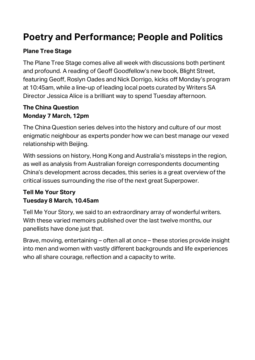### **Poetry and Performance; People and Politics**

### **Plane Tree Stage**

The Plane Tree Stage comes alive all week with discussions both pertinent and profound. A reading of Geoff Goodfellow's new book, Blight Street, featuring Geoff, Roslyn Oades and Nick Dorrigo, kicks off Monday's program at 10:45am, while a line-up of leading local poets curated by Writers SA Director Jessica Alice is a brilliant way to spend Tuesday afternoon.

#### **The China Question Monday 7 March, 12pm**

The China Question series delves into the history and culture of our most enigmatic neighbour as experts ponder how we can best manage our vexed relationship with Beijing.

With sessions on history, Hong Kong and Australia's missteps in the region, as well as analysis from Australian foreign correspondents documenting China's development across decades, this series is a great overview of the critical issues surrounding the rise of the next great Superpower.

### **Tell Me Your Story Tuesday 8 March, 10.45am**

Tell Me Your Story, we said to an extraordinary array of wonderful writers. With these varied memoirs published over the last twelve months, our panellists have done just that.

Brave, moving, entertaining – often all at once – these stories provide insight into men and women with vastly different backgrounds and life experiences who all share courage, reflection and a capacity to write.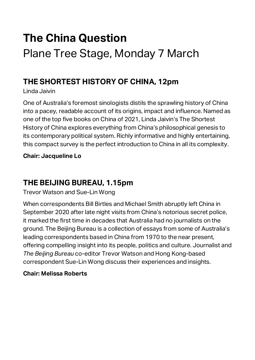## **The China Question** Plane Tree Stage, Monday 7 March

### **THE SHORTEST HISTORY OF CHINA, 12pm**

Linda Jaivin

One of Australia's foremost sinologists distils the sprawling history of China into a pacey, readable account of its origins, impact and influence. Named as one of the top five books on China of 2021, Linda Jaivin's The Shortest History of China explores everything from China's philosophical genesis to its contemporary political system. Richly informative and highly entertaining, this compact survey is the perfect introduction to China in all its complexity.

**Chair: Jacqueline Lo**

### **THE BEIJING BUREAU, 1.15pm**

Trevor Watson and Sue-Lin Wong

When correspondents Bill Birtles and Michael Smith abruptly left China in September 2020 after late night visits from China's notorious secret police, it marked the first time in decades that Australia had no journalists on the ground. The Beijing Bureau is a collection of essays from some of Australia's leading correspondents based in China from 1970 to the near present, offering compelling insight into its people, politics and culture. Journalist and *The Beijing Bureau* co-editor Trevor Watson and Hong Kong-based correspondent Sue-Lin Wong discuss their experiences and insights.

### **Chair: Melissa Roberts**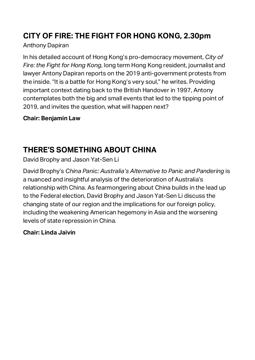### **CITY OF FIRE: THE FIGHT FOR HONG KONG, 2.30pm**

### Anthony Dapiran

In his detailed account of Hong Kong's pro-democracy movement, *City of Fire: the Fight for Hong Kong*, long term Hong Kong resident, journalist and lawyer Antony Dapiran reports on the 2019 anti-government protests from the inside. "It is a battle for Hong Kong's very soul," he writes. Providing important context dating back to the British Handover in 1997, Antony contemplates both the big and small events that led to the tipping point of 2019, and invites the question, what will happen next?

### **Chair: Benjamin Law**

### **THERE'S SOMETHING ABOUT CHINA**

David Brophy and Jason Yat-Sen Li

David Brophy's *China Panic: Australia's Alternative to Panic and Pandering* is a nuanced and insightful analysis of the deterioration of Australia's relationship with China. As fearmongering about China builds in the lead up to the Federal election, David Brophy and Jason Yat-Sen Li discuss the changing state of our region and the implications for our foreign policy, including the weakening American hegemony in Asia and the worsening levels of state repression in China.

### **Chair: Linda Jaivin**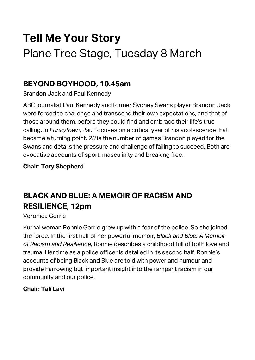## **Tell Me Your Story** Plane Tree Stage, Tuesday 8 March

### **BEYOND BOYHOOD, 10.45am**

Brandon Jack and Paul Kennedy

ABC journalist Paul Kennedy and former Sydney Swans player Brandon Jack were forced to challenge and transcend their own expectations, and that of those around them, before they could find and embrace their life's true calling. In *Funkytown*, Paul focuses on a critical year of his adolescence that became a turning point. *28* is the number of games Brandon played for the Swans and details the pressure and challenge of failing to succeed. Both are evocative accounts of sport, masculinity and breaking free.

### **Chair: Tory Shepherd**

### **BLACK AND BLUE: A MEMOIR OF RACISM AND RESILIENCE, 12pm**

Veronica Gorrie

Kurnai woman Ronnie Gorrie grew up with a fear of the police. So she joined the force. In the first half of her powerful memoir, *Black and Blue: A Memoir of Racism and Resilience*, Ronnie describes a childhood full of both love and trauma. Her time as a police officer is detailed in its second half. Ronnie's accounts of being Black and Blue are told with power and humour and provide harrowing but important insight into the rampant racism in our community and our police.

### **Chair: Tali Lavi**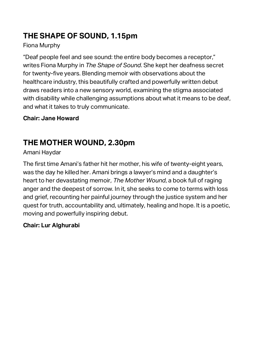### **THE SHAPE OF SOUND, 1.15pm**

### Fiona Murphy

"Deaf people feel and see sound: the entire body becomes a receptor," writes Fiona Murphy in *The Shape of Sound*. She kept her deafness secret for twenty-five years. Blending memoir with observations about the healthcare industry, this beautifully crafted and powerfully written debut draws readers into a new sensory world, examining the stigma associated with disability while challenging assumptions about what it means to be deaf, and what it takes to truly communicate.

### **Chair: Jane Howard**

### **THE MOTHER WOUND, 2.30pm**

### Amani Haydar

The first time Amani's father hit her mother, his wife of twenty-eight years, was the day he killed her. Amani brings a lawyer's mind and a daughter's heart to her devastating memoir*, The Mother Wound*, a book full of raging anger and the deepest of sorrow. In it, she seeks to come to terms with loss and grief, recounting her painful journey through the justice system and her quest for truth, accountability and, ultimately, healing and hope. It is a poetic, moving and powerfully inspiring debut.

### **Chair: Lur Alghurabi**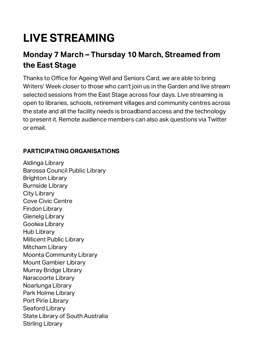## **LIVE STREAMING**

### **Monday 7 March – Thursday 10 March, Streamed from the East Stage**

Thanks to Office for Ageing Well and Seniors Card, we are able to bring Writers' Week closer to those who can't join us in the Garden and live stream selected sessions from the East Stage across four days. Live streaming is open to libraries, schools, retirement villages and community centres across the state and all the facility needs is broadband access and the technology to present it. Remote audience members can also ask questions via Twitter or email.

### **PARTICIPATING ORGANISATIONS**

Aldinga Library Barossa Council Public Library Brighton Library Burnside Library City Library Cove Civic Centre Findon Library Glenelg Library Goolwa Library Hub Library Millicent Public Library Mitcham Library Moonta Community Library Mount Gambier Library Murray Bridge LIbrary Naracoorte Library Noarlunga Library Park Holme Library Port Pirie Library Seaford Library State Library of South Australia Stirling Library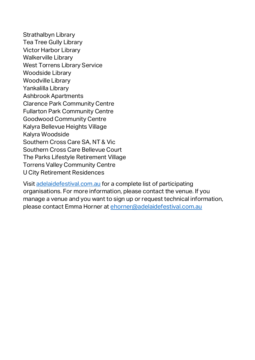Strathalbyn Library Tea Tree Gully Library Victor Harbor Library Walkerville Library West Torrens Library Service Woodside Library Woodville Library Yankalilla Library Ashbrook Apartments Clarence Park Community Centre Fullarton Park Community Centre Goodwood Community Centre Kalyra Bellevue Heights Village Kalyra Woodside Southern Cross Care SA, NT & Vic Southern Cross Care Bellevue Court The Parks Lifestyle Retirement Village Torrens Valley Community Centre U City Retirement Residences

Visit [adelaidefestival.com.au](https://www.adelaidefestival.com.au/?gclid=Cj0KCQjw8eOLBhC1ARIsAOzx5cEidFfTSzXsJaQ6d_DbYNCFCTmvclFOplrkYSUEkwpLxrd8kGyff9IaAkgxEALw_wcB) for a complete list of participating organisations. For more information, please contact the venue. If you manage a venue and you want to sign up or request technical information, please contact Emma Horner at [ehorner@adelaidefestival.com.au](mailto:ehorner@adelaidefestival.com.au)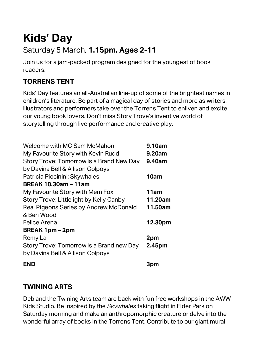## **Kids' Day**

### Saturday 5 March, **1.15pm, Ages 2-11**

Join us for a jam-packed program designed for the youngest of book readers.

### **TORRENS TENT**

Kids' Day features an all-Australian line-up of some of the brightest names in children's literature. Be part of a magical day of stories and more as writers, illustrators and performers take over the Torrens Tent to enliven and excite our young book lovers. Don't miss Story Trove's inventive world of storytelling through live performance and creative play.

| Welcome with MC Sam McMahon              | 9.10am  |
|------------------------------------------|---------|
| My Favourite Story with Kevin Rudd       | 9.20am  |
| Story Trove: Tomorrow is a Brand New Day | 9.40am  |
| by Davina Bell & Allison Colpoys         |         |
| Patricia Piccinini: Skywhales            | 10am    |
| <b>BREAK 10.30am - 11am</b>              |         |
| My Favourite Story with Mem Fox          | 11am    |
| Story Trove: Littlelight by Kelly Canby  | 11.20am |
| Real Pigeons Series by Andrew McDonald   | 11.50am |
| & Ben Wood                               |         |
| Felice Arena                             | 12.30pm |
| <b>BREAK 1pm – 2pm</b>                   |         |
| Remy Lai                                 | 2pm     |
| Story Trove: Tomorrow is a Brand new Day | 2.45pm  |
| by Davina Bell & Allison Colpoys         |         |
| <b>END</b>                               | 3pm     |

### **TWINING ARTS**

Deb and the Twining Arts team are back with fun free workshops in the AWW Kids Studio. Be inspired by the *Skywhales* taking flight in Elder Park on Saturday morning and make an anthropomorphic creature or delve into the wonderful array of books in the Torrens Tent. Contribute to our giant mural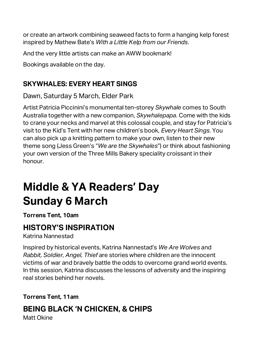or create an artwork combining seaweed facts to form a hanging kelp forest inspired by Mathew Bate's *With a Little Kelp from our Friends*.

And the very little artists can make an AWW bookmark!

Bookings available on the day.

### **SKYWHALES: EVERY HEART SINGS**

Dawn, Saturday 5 March, Elder Park

Artist Patricia Piccinini's monumental ten-storey *Skywhale* comes to South Australia together with a new companion, *Skywhalepapa*. Come with the kids to crane your necks and marvel at this colossal couple, and stay for Patricia's visit to the Kid's Tent with her new children's book, *Every Heart Sings*. You can also pick up a knitting pattern to make your own, listen to their new theme song (Jess Green's "*We are the Skywhales*") or think about fashioning your own version of the Three Mills Bakery speciality croissant in their honour.

## **Middle & YA Readers' Day Sunday 6 March**

**Torrens Tent, 10am**

### **HISTORY'S INSPIRATION**

Katrina Nannestad

Inspired by historical events, Katrina Nannestad's *We Are Wolves* and *Rabbit, Soldier, Angel, Thief* are stories where children are the innocent victims of war and bravely battle the odds to overcome grand world events. In this session, Katrina discusses the lessons of adversity and the inspiring real stories behind her novels.

**Torrens Tent, 11am**

### **BEING BLACK 'N CHICKEN, & CHIPS**

Matt Okine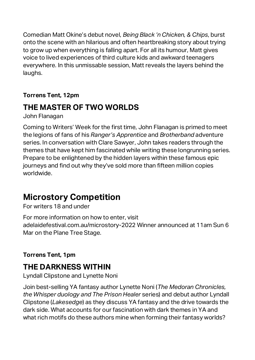Comedian Matt Okine's debut novel, *Being Black 'n Chicken, & Chips*, burst onto the scene with an hilarious and often heartbreaking story about trying to grow up when everything is falling apart. For all its humour, Matt gives voice to lived experiences of third culture kids and awkward teenagers everywhere. In this unmissable session, Matt reveals the layers behind the laughs.

### **Torrens Tent, 12pm**

### **THE MASTER OF TWO WORLDS**

John Flanagan

Coming to Writers' Week for the first time, John Flanagan is primed to meet the legions of fans of his *Ranger's Apprentice* and *Brotherband* adventure series. In conversation with Clare Sawyer, John takes readers through the themes that have kept him fascinated while writing these longrunning series. Prepare to be enlightened by the hidden layers within these famous epic journeys and find out why they've sold more than fifteen million copies worldwide.

### **Microstory Competition**

For writers 18 and under

For more information on how to enter, visit adelaidefestival.com.au/microstory-2022 Winner announced at 11am Sun 6 Mar on the Plane Tree Stage.

### **Torrens Tent, 1pm**

### **THE DARKNESS WITHIN**

Lyndall Clipstone and Lynette Noni

Join best-selling YA fantasy author Lynette Noni (*The Medoran Chronicles, the Whisper duology and The Prison Healer* series) and debut author Lyndall Clipstone (*Lakesedge*) as they discuss YA fantasy and the drive towards the dark side. What accounts for our fascination with dark themes in YA and what rich motifs do these authors mine when forming their fantasy worlds?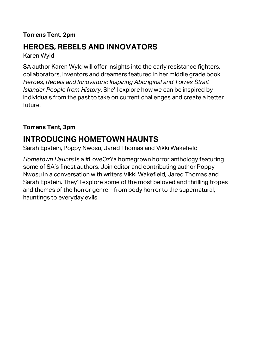### **Torrens Tent, 2pm**

### **HEROES, REBELS AND INNOVATORS**

Karen Wyld

SA author Karen Wyld will offer insights into the early resistance fighters, collaborators, inventors and dreamers featured in her middle grade book *Heroes, Rebels and Innovators: Inspiring Aboriginal and Torres Strait Islander People from History*. She'll explore how we can be inspired by individuals from the past to take on current challenges and create a better future.

### **Torrens Tent, 3pm**

### **INTRODUCING HOMETOWN HAUNTS**

Sarah Epstein, Poppy Nwosu, Jared Thomas and Vikki Wakefield

*Hometown Haunts* is a #LoveOzYa homegrown horror anthology featuring some of SA's finest authors. Join editor and contributing author Poppy Nwosu in a conversation with writers Vikki Wakefield, Jared Thomas and Sarah Epstein. They'll explore some of the most beloved and thrilling tropes and themes of the horror genre – from body horror to the supernatural, hauntings to everyday evils.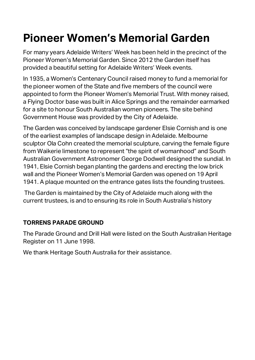## **Pioneer Women's Memorial Garden**

For many years Adelaide Writers' Week has been held in the precinct of the Pioneer Women's Memorial Garden. Since 2012 the Garden itself has provided a beautiful setting for Adelaide Writers' Week events.

In 1935, a Women's Centenary Council raised money to fund a memorial for the pioneer women of the State and five members of the council were appointed to form the Pioneer Women's Memorial Trust. With money raised, a Flying Doctor base was built in Alice Springs and the remainder earmarked for a site to honour South Australian women pioneers. The site behind Government House was provided by the City of Adelaide.

The Garden was conceived by landscape gardener Elsie Cornish and is one of the earliest examples of landscape design in Adelaide. Melbourne sculptor Ola Cohn created the memorial sculpture, carving the female figure from Waikerie limestone to represent "the spirit of womanhood" and South Australian Government Astronomer George Dodwell designed the sundial. In 1941, Elsie Cornish began planting the gardens and erecting the low brick wall and the Pioneer Women's Memorial Garden was opened on 19 April 1941. A plaque mounted on the entrance gates lists the founding trustees.

The Garden is maintained by the City of Adelaide much along with the current trustees, is and to ensuring its role in South Australia's history

### **TORRENS PARADE GROUND**

The Parade Ground and Drill Hall were listed on the South Australian Heritage Register on 11 June 1998.

We thank Heritage South Australia for their assistance.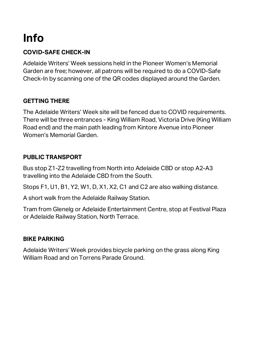## **Info**

### **COVID-SAFE CHECK-IN**

Adelaide Writers' Week sessions held in the Pioneer Women's Memorial Garden are free; however, all patrons will be required to do a COVID-Safe Check-In by scanning one of the QR codes displayed around the Garden.

### **GETTING THERE**

The Adelaide Writers' Week site will be fenced due to COVID requirements. There will be three entrances - King William Road, Victoria Drive (King William Road end) and the main path leading from Kintore Avenue into Pioneer Women's Memorial Garden.

### **PUBLIC TRANSPORT**

Bus stop Z1-Z2 travelling from North into Adelaide CBD or stop A2-A3 travelling into the Adelaide CBD from the South.

Stops F1, U1, B1, Y2, W1, D, X1, X2, C1 and C2 are also walking distance.

A short walk from the Adelaide Railway Station.

Tram from Glenelg or Adelaide Entertainment Centre, stop at Festival Plaza or Adelaide Railway Station, North Terrace.

### **BIKE PARKING**

Adelaide Writers' Week provides bicycle parking on the grass along King William Road and on Torrens Parade Ground.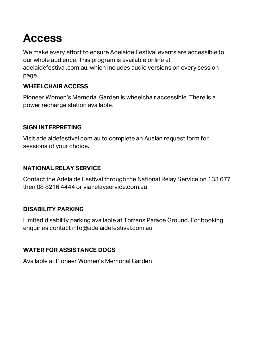## **Access**

We make every effort to ensure Adelaide Festival events are accessible to our whole audience. This program is available online at adelaidefestival.com.au, which includes audio versions on every session page.

### **WHEELCHAIR ACCESS**

Pioneer Women's Memorial Garden is wheelchair accessible. There is a power recharge station available.

#### **SIGN INTERPRETING**

Visit adelaidefestival.com.au to complete an Auslan request form for sessions of your choice.

#### **NATIONAL RELAY SERVICE**

Contact the Adelaide Festival through the National Relay Service on 133 677 then 08 8216 4444 or via relayservice.com.au

### **DISABILITY PARKING**

Limited disability parking available at Torrens Parade Ground. For booking enquiries contact info@adelaidefestival.com.au

### **WATER FOR ASSISTANCE DOGS**

Available at Pioneer Women's Memorial Garden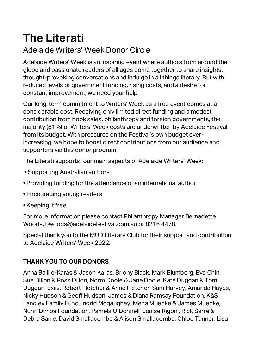## **The Literati**

### Adelaide Writers' Week Donor Circle

Adelaide Writers' Week is an inspiring event where authors from around the globe and passionate readers of all ages come together to share insights, thought-provoking conversations and indulge in all things literary. But with reduced levels of government funding, rising costs, and a desire for constant improvement, we need your help.

Our long-term commitment to Writers' Week as a free event comes at a considerable cost. Receiving only limited direct funding and a modest contribution from book sales, philanthropy and foreign governments, the majority (61%) of Writers' Week costs are underwritten by Adelaide Festival from its budget. With pressures on the Festival's own budget everincreasing, we hope to boost direct contributions from our audience and supporters via this donor program.

The Literati supports four main aspects of Adelaide Writers' Week:

- Supporting Australian authors
- Providing funding for the attendance of an international author
- Encouraging young readers
- Keeping it free!

For more information please contact Philanthropy Manager Bernadette Woods, bwoods@adelaidefestival.com.au or 8216 4478.

Special thank you to the MUD Literary Club for their support and contribution to Adelaide Writers' Week 2022.

### **THANK YOU TO OUR DONORS**

Anna Baillie-Karas & Jason Karas, Briony Black, Mark Blumberg, Eva Chin, Sue Dillon & Ross Dillon, Norm Doole & Jane Doole, Kate Duggan & Tom Duggan, Exiis, Robert Fletcher & Anne Fletcher, Sam Harvey, Amanda Hayes, Nicky Hudson & Geoff Hudson, James & Diana Ramsay Foundation, K&S Langley Family Fund, Ingrid Mcgaughey, Mena Muecke & James Muecke, Nunn Dimos Foundation, Pamela O'Donnell, Louise Rigoni, Rick Sarre & Debra Sarre, David Smallacombe & Alison Smallacombe, Chloe Tanner, Lisa